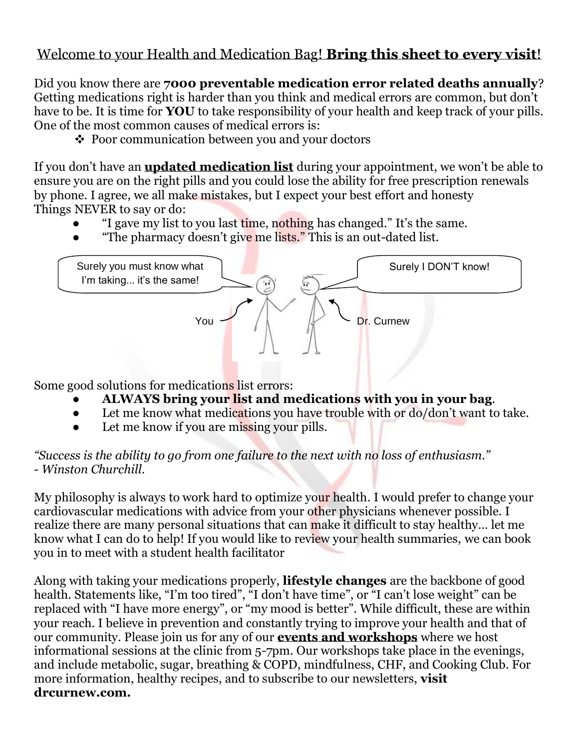## Welcome to your Health and Medication Bag! **Bring this sheet to every visit**!

Did you know there are **7000 preventable medication error related deaths annually**? Getting medications right is harder than you think and medical errors are common, but don't have to be. It is time for **YOU** to take responsibility of your health and keep track of your pills. One of the most common causes of medical errors is:

 $\div$  Poor communication between you and your doctors

If you don't have an **updated medication list** during your appointment, we won't be able to ensure you are on the right pills and you could lose the ability for free prescription renewals by phone. I agree, we all make mistakes, but I expect your best effort and honesty Things NEVER to say or do:

- "I gave my list to you last time, nothing has changed." It's the same.
- "The pharmacy doesn't give me lists." This is an out-dated list.



Some good solutions for medications list errors:

- **ALWAYS bring your list and medications with you in your bag**.
- Let me know what medications you have trouble with or do/don't want to take.
- Let me know if you are missing your pills.

*"Success is the ability to go from one failure to the next with no loss of enthusiasm." - Winston Churchill.*

My philosophy is always to work hard to optimize your health. I would prefer to change your cardiovascular medications with advice from your other physicians whenever possible. I realize there are many personal situations that can make it difficult to stay healthy… let me know what I can do to help! If you would like to review your health summaries, we can book you in to meet with a student health facilitator

Along with taking your medications properly, **lifestyle changes** are the backbone of good health. Statements like, "I'm too tired", "I don't have time", or "I can't lose weight" can be replaced with "I have more energy", or "my mood is better". While difficult, these are within your reach. I believe in prevention and constantly trying to improve your health and that of our community. Please join us for any of our **events and workshops** where we host informational sessions at the clinic from 5-7pm. Our workshops take place in the evenings, and include metabolic, sugar, breathing & COPD, mindfulness, CHF, and Cooking Club. For more information, healthy recipes, and to subscribe to our newsletters, **visit [drcurnew.com.](http://drcurnew.com/)**